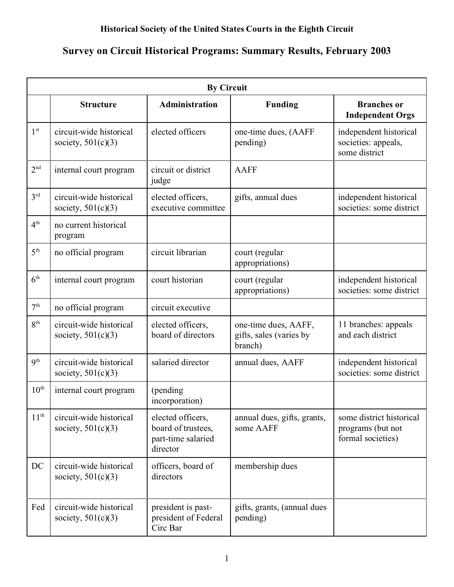## **Historical Society of the United States Courts in the Eighth Circuit**

## **Survey on Circuit Historical Programs: Summary Results, February 2003**

| <b>By Circuit</b> |                                                 |                                                                           |                                                            |                                                                    |  |  |
|-------------------|-------------------------------------------------|---------------------------------------------------------------------------|------------------------------------------------------------|--------------------------------------------------------------------|--|--|
|                   | <b>Structure</b>                                | <b>Administration</b>                                                     | <b>Funding</b>                                             | <b>Branches</b> or<br><b>Independent Orgs</b>                      |  |  |
| 1 <sup>st</sup>   | circuit-wide historical<br>society, $501(c)(3)$ | elected officers                                                          | one-time dues, (AAFF<br>pending)                           | independent historical<br>societies: appeals,<br>some district     |  |  |
| 2 <sup>nd</sup>   | internal court program                          | circuit or district<br>judge                                              | <b>AAFF</b>                                                |                                                                    |  |  |
| $3^{\text{rd}}$   | circuit-wide historical<br>society, $501(c)(3)$ | elected officers,<br>executive committee                                  | gifts, annual dues                                         | independent historical<br>societies: some district                 |  |  |
| 4 <sup>th</sup>   | no current historical<br>program                |                                                                           |                                                            |                                                                    |  |  |
| 5 <sup>th</sup>   | no official program                             | circuit librarian                                                         | court (regular<br>appropriations)                          |                                                                    |  |  |
| 6 <sup>th</sup>   | internal court program                          | court historian                                                           | court (regular<br>appropriations)                          | independent historical<br>societies: some district                 |  |  |
| 7 <sup>th</sup>   | no official program                             | circuit executive                                                         |                                                            |                                                                    |  |  |
| 8 <sup>th</sup>   | circuit-wide historical<br>society, $501(c)(3)$ | elected officers,<br>board of directors                                   | one-time dues, AAFF,<br>gifts, sales (varies by<br>branch) | 11 branches: appeals<br>and each district                          |  |  |
| 9 <sup>th</sup>   | circuit-wide historical<br>society, $501(c)(3)$ | salaried director                                                         | annual dues, AAFF                                          | independent historical<br>societies: some district                 |  |  |
| $10^{\text{th}}$  | internal court program                          | (pending)<br>incorporation)                                               |                                                            |                                                                    |  |  |
| $11^{\text{th}}$  | circuit-wide historical<br>society, $501(c)(3)$ | elected officers,<br>board of trustees,<br>part-time salaried<br>director | annual dues, gifts, grants,<br>some AAFF                   | some district historical<br>programs (but not<br>formal societies) |  |  |
| DC                | circuit-wide historical<br>society, $501(c)(3)$ | officers, board of<br>directors                                           | membership dues                                            |                                                                    |  |  |
| Fed               | circuit-wide historical<br>society, $501(c)(3)$ | president is past-<br>president of Federal<br>Circ Bar                    | gifts, grants, (annual dues<br>pending)                    |                                                                    |  |  |